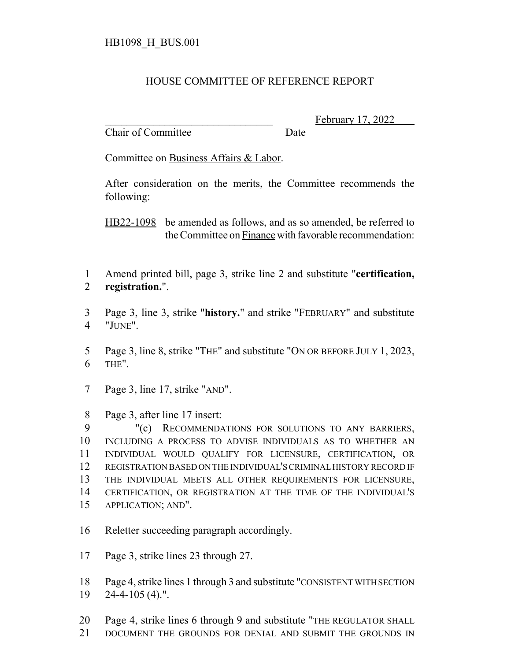## HOUSE COMMITTEE OF REFERENCE REPORT

Chair of Committee Date

February 17, 2022

Committee on Business Affairs & Labor.

After consideration on the merits, the Committee recommends the following:

HB22-1098 be amended as follows, and as so amended, be referred to the Committee on Finance with favorable recommendation:

- Amend printed bill, page 3, strike line 2 and substitute "**certification, registration.**".
- Page 3, line 3, strike "**history.**" and strike "FEBRUARY" and substitute "JUNE".

 Page 3, line 8, strike "THE" and substitute "ON OR BEFORE JULY 1, 2023, THE".

- Page 3, line 17, strike "AND".
- Page 3, after line 17 insert:

 "(c) RECOMMENDATIONS FOR SOLUTIONS TO ANY BARRIERS, INCLUDING A PROCESS TO ADVISE INDIVIDUALS AS TO WHETHER AN INDIVIDUAL WOULD QUALIFY FOR LICENSURE, CERTIFICATION, OR REGISTRATION BASED ON THE INDIVIDUAL'S CRIMINAL HISTORY RECORD IF THE INDIVIDUAL MEETS ALL OTHER REQUIREMENTS FOR LICENSURE, CERTIFICATION, OR REGISTRATION AT THE TIME OF THE INDIVIDUAL'S APPLICATION; AND".

- Reletter succeeding paragraph accordingly.
- Page 3, strike lines 23 through 27.
- Page 4, strike lines 1 through 3 and substitute "CONSISTENT WITH SECTION 24-4-105 (4).".
- Page 4, strike lines 6 through 9 and substitute "THE REGULATOR SHALL
- DOCUMENT THE GROUNDS FOR DENIAL AND SUBMIT THE GROUNDS IN